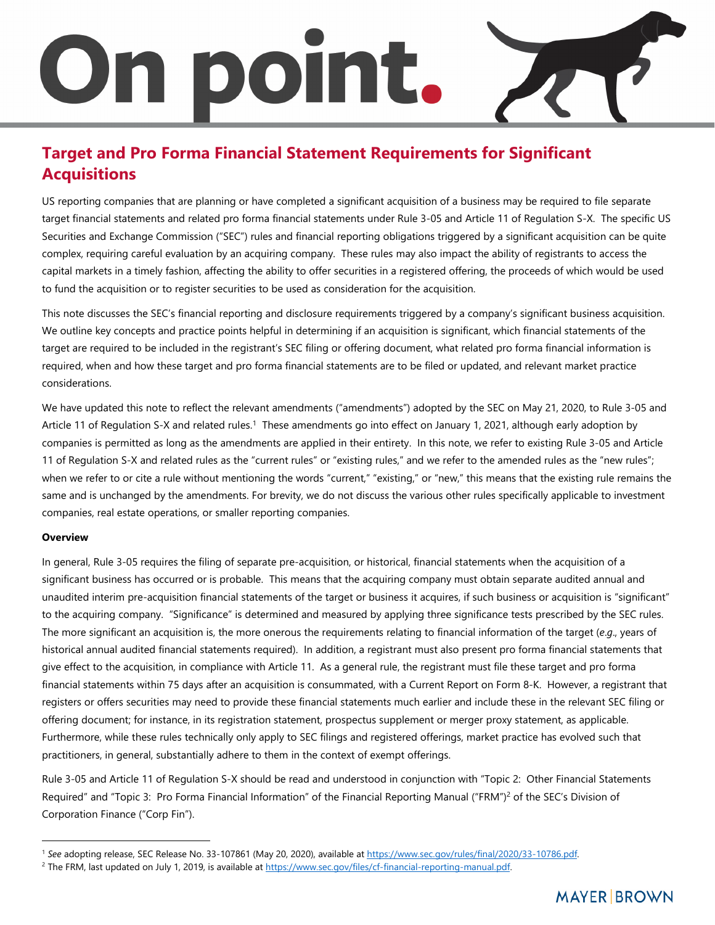# On point.

### **Target and Pro Forma Financial Statement Requirements for Significant Acquisitions**

US reporting companies that are planning or have completed a significant acquisition of a business may be required to file separate target financial statements and related pro forma financial statements under Rule 3-05 and Article 11 of Regulation S-X. The specific US Securities and Exchange Commission ("SEC") rules and financial reporting obligations triggered by a significant acquisition can be quite complex, requiring careful evaluation by an acquiring company. These rules may also impact the ability of registrants to access the capital markets in a timely fashion, affecting the ability to offer securities in a registered offering, the proceeds of which would be used to fund the acquisition or to register securities to be used as consideration for the acquisition.

This note discusses the SEC's financial reporting and disclosure requirements triggered by a company's significant business acquisition. We outline key concepts and practice points helpful in determining if an acquisition is significant, which financial statements of the target are required to be included in the registrant's SEC filing or offering document, what related pro forma financial information is required, when and how these target and pro forma financial statements are to be filed or updated, and relevant market practice considerations.

We have updated this note to reflect the rele[va](#page-0-0)nt amendments ("amendments") adopted by the SEC on May 21, 2020, to Rule 3-05 and Article 11 of Regulation S-X and related rules.<sup>1</sup> These amendments go into effect on January 1, 2021, although early adoption by companies is permitted as long as the amendments are applied in their entirety. In this note, we refer to existing Rule 3-05 and Article 11 of Regulation S-X and related rules as the "current rules" or "existing rules," and we refer to the amended rules as the "new rules"; when we refer to or cite a rule without mentioning the words "current," "existing," or "new," this means that the existing rule remains the same and is unchanged by the amendments. For brevity, we do not discuss the various other rules specifically applicable to investment companies, real estate operations, or smaller reporting companies.

#### **Overview**

In general, Rule 3-05 requires the filing of separate pre-acquisition, or historical, financial statements when the acquisition of a significant business has occurred or is probable. This means that the acquiring company must obtain separate audited annual and unaudited interim pre-acquisition financial statements of the target or business it acquires, if such business or acquisition is "significant" to the acquiring company. "Significance" is determined and measured by applying three significance tests prescribed by the SEC rules. The more significant an acquisition is, the more onerous the requirements relating to financial information of the target (*e*.*g*., years of historical annual audited financial statements required). In addition, a registrant must also present pro forma financial statements that give effect to the acquisition, in compliance with Article 11. As a general rule, the registrant must file these target and pro forma financial statements within 75 days after an acquisition is consummated, with a Current Report on Form 8-K. However, a registrant that registers or offers securities may need to provide these financial statements much earlier and include these in the relevant SEC filing or offering document; for instance, in its registration statement, prospectus supplement or merger proxy statement, as applicable. Furthermore, while these rules technically only apply to SEC filings and registered offerings, market practice has evolved such that practitioners, in general, substantially adhere to them in the context of exempt offerings.

Rule 3-05 and Article 11 of Regulation S-X should be read and understood in conjunction with "Topi[c](#page-0-1) 2: Other Financial Statements Required" and "Topic 3: Pro Forma Financial Information" of the Financial Reporting Manual ("FRM")<sup>2</sup> of the SEC's Division of Corporation Finance ("Corp Fin").

<span id="page-0-1"></span><span id="page-0-0"></span><sup>1</sup> *See* adopting release, SEC Release No. 33-107861 (May 20, 2020), available at https://www.sec.gov/rules/final/2020/33-10786.pdf.

<sup>&</sup>lt;sup>2</sup> The FRM, last updated on July 1, 2019, is available at https://www.sec.gov/files/cf-financial-reporting-manual.pdf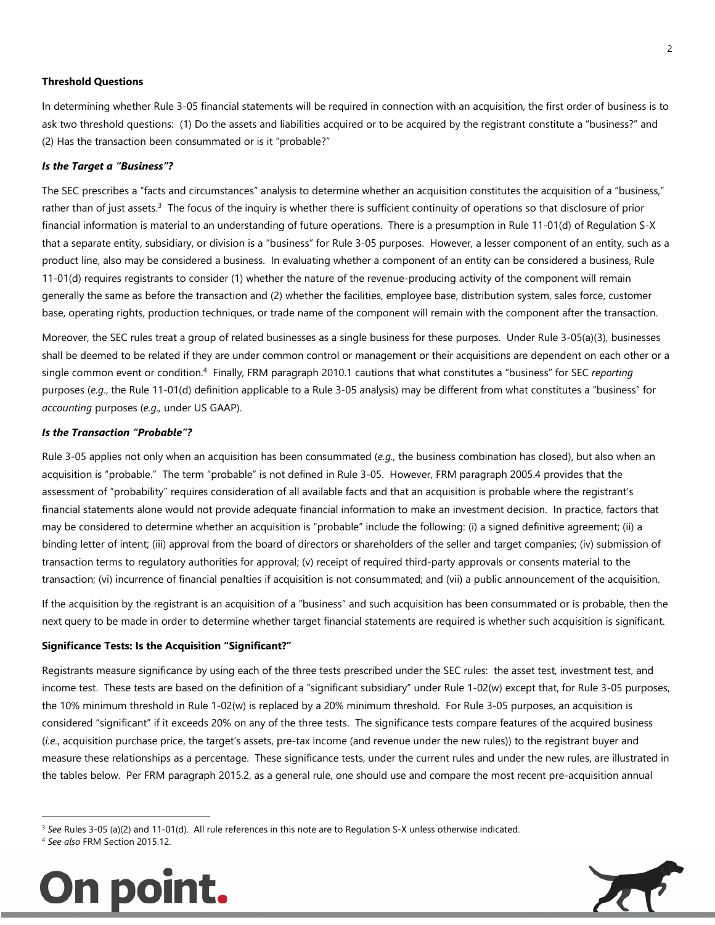#### **Threshold Questions**

In determining whether Rule 3-05 financial statements will be required in connection with an acquisition, the first order of business is to ask two threshold questions: (1) Do the assets and liabilities acquired or to be acquired by the registrant constitute a "business?" and (2) Has the transaction been consummated or is it "probable?"

#### *Is the Target a "Business"?*

The SEC prescribes a "facts and circumstances" analysis to determine whether an acquisition constitutes the acquisition of a "business," rather than of just assets.<sup>[3](#page-1-0)</sup> The focus of the inquiry is whether there is sufficient continuity of operations so that disclosure of prior financial information is material to an understanding of future operations. There is a presumption in Rule 11-01(d) of Regulation S-X that a separate entity, subsidiary, or division is a "business" for Rule 3-05 purposes. However, a lesser component of an entity, such as a product line, also may be considered a business. In evaluating whether a component of an entity can be considered a business, Rule 11-01(d) requires registrants to consider (1) whether the nature of the revenue-producing activity of the component will remain generally the same as before the transaction and (2) whether the facilities, employee base, distribution system, sales force, customer base, operating rights, production techniques, or trade name of the component will remain with the component after the transaction.

Moreover, the SEC rules treat a group of related businesses as a single business for these purposes. Under Rule 3-05(a)(3), businesses shall be deemed to be related if they are under common control or management or their acquisitions are dependent on each other or a single common event or condition.[4](#page-1-1) Finally, FRM paragraph 2010.1 cautions that what constitutes a "business" for SEC *reporting* purposes (*e.g*., the Rule 11-01(d) definition applicable to a Rule 3-05 analysis) may be different from what constitutes a "business" for *accounting* purposes (*e.g.,* under US GAAP).

#### *Is the Transaction "Probable"?*

Rule 3-05 applies not only when an acquisition has been consummated (*e.g.,* the business combination has closed), but also when an acquisition is "probable." The term "probable" is not defined in Rule 3-05. However, FRM paragraph 2005.4 provides that the assessment of "probability" requires consideration of all available facts and that an acquisition is probable where the registrant's financial statements alone would not provide adequate financial information to make an investment decision. In practice, factors that may be considered to determine whether an acquisition is "probable" include the following: (i) a signed definitive agreement; (ii) a binding letter of intent; (iii) approval from the board of directors or shareholders of the seller and target companies; (iv) submission of transaction terms to regulatory authorities for approval; (v) receipt of required third-party approvals or consents material to the transaction; (vi) incurrence of financial penalties if acquisition is not consummated; and (vii) a public announcement of the acquisition.

If the acquisition by the registrant is an acquisition of a "business" and such acquisition has been consummated or is probable, then the next query to be made in order to determine whether target financial statements are required is whether such acquisition is significant.

#### **Significance Tests: Is the Acquisition "Significant?"**

Registrants measure significance by using each of the three tests prescribed under the SEC rules: the asset test, investment test, and income test. These tests are based on the definition of a "significant subsidiary" under Rule 1-02(w) except that, for Rule 3-05 purposes, the 10% minimum threshold in Rule 1-02(w) is replaced by a 20% minimum threshold. For Rule 3-05 purposes, an acquisition is considered "significant" if it exceeds 20% on any of the three tests. The significance tests compare features of the acquired business (*i.e.*, acquisition purchase price, the target's assets, pre-tax income (and revenue under the new rules)) to the registrant buyer and measure these relationships as a percentage. These significance tests, under the current rules and under the new rules, are illustrated in the tables below. Per FRM paragraph 2015.2, as a general rule, one should use and compare the most recent pre-acquisition annual

4 *See also* FRM Section 2015.12.





<span id="page-1-1"></span><span id="page-1-0"></span><sup>3</sup> *See* Rules 3-05 (a)(2) and 11-01(d). All rule references in this note are to Regulation S-X unless otherwise indicated.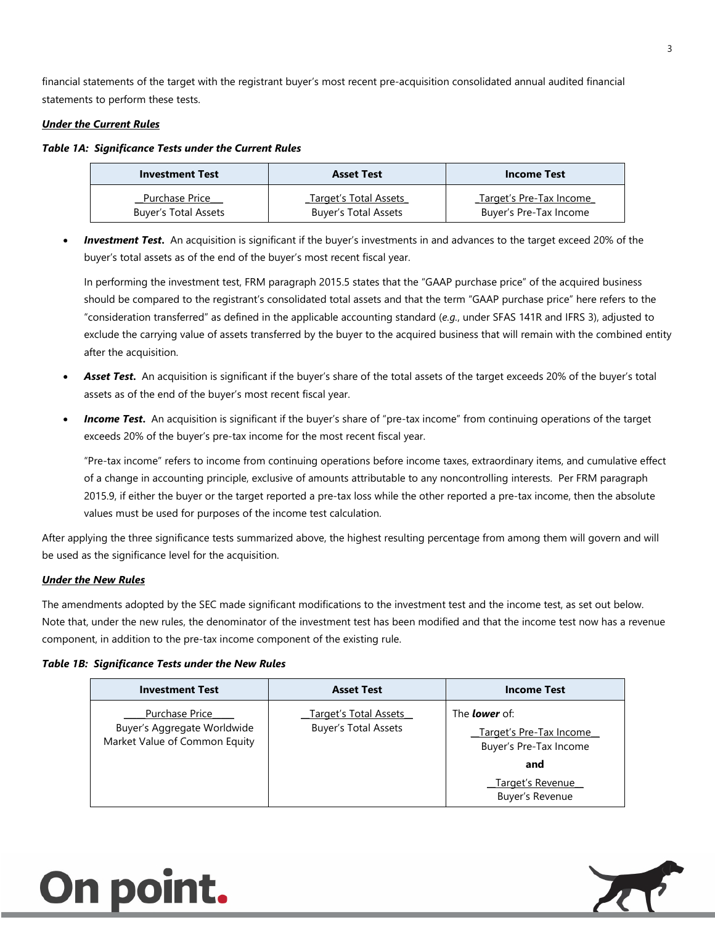financial statements of the target with the registrant buyer's most recent pre-acquisition consolidated annual audited financial statements to perform these tests.

#### *Under the Current Rules*

#### *Table 1A: Significance Tests under the Current Rules*

| <b>Investment Test</b>      | <b>Asset Test</b>            | <b>Income Test</b>      |
|-----------------------------|------------------------------|-------------------------|
| Purchase Price              | <b>Target's Total Assets</b> | Target's Pre-Tax Income |
| <b>Buyer's Total Assets</b> | <b>Buyer's Total Assets</b>  | Buyer's Pre-Tax Income  |

 *Investment Test***.** An acquisition is significant if the buyer's investments in and advances to the target exceed 20% of the buyer's total assets as of the end of the buyer's most recent fiscal year.

In performing the investment test, FRM paragraph 2015.5 states that the "GAAP purchase price" of the acquired business should be compared to the registrant's consolidated total assets and that the term "GAAP purchase price" here refers to the "consideration transferred" as defined in the applicable accounting standard (*e.g.*, under SFAS 141R and IFRS 3), adjusted to exclude the carrying value of assets transferred by the buyer to the acquired business that will remain with the combined entity after the acquisition.

- *Asset Test***.** An acquisition is significant if the buyer's share of the total assets of the target exceeds 20% of the buyer's total assets as of the end of the buyer's most recent fiscal year.
- *Income Test***.** An acquisition is significant if the buyer's share of "pre-tax income" from continuing operations of the target exceeds 20% of the buyer's pre-tax income for the most recent fiscal year.

"Pre-tax income" refers to income from continuing operations before income taxes, extraordinary items, and cumulative effect of a change in accounting principle, exclusive of amounts attributable to any noncontrolling interests. Per FRM paragraph 2015.9, if either the buyer or the target reported a pre-tax loss while the other reported a pre-tax income, then the absolute values must be used for purposes of the income test calculation.

After applying the three significance tests summarized above, the highest resulting percentage from among them will govern and will be used as the significance level for the acquisition.

#### *Under the New Rules*

The amendments adopted by the SEC made significant modifications to the investment test and the income test, as set out below. Note that, under the new rules, the denominator of the investment test has been modified and that the income test now has a revenue component, in addition to the pre-tax income component of the existing rule.

#### *Table 1B: Significance Tests under the New Rules*

| <b>Investment Test</b>                                                                | <b>Asset Test</b>                                           | <b>Income Test</b>                                                                                                      |
|---------------------------------------------------------------------------------------|-------------------------------------------------------------|-------------------------------------------------------------------------------------------------------------------------|
| <b>Purchase Price</b><br>Buyer's Aggregate Worldwide<br>Market Value of Common Equity | <b>Target's Total Assets</b><br><b>Buyer's Total Assets</b> | The <b>lower</b> of:<br>Target's Pre-Tax Income<br>Buyer's Pre-Tax Income<br>and<br>Target's Revenue<br>Buyer's Revenue |

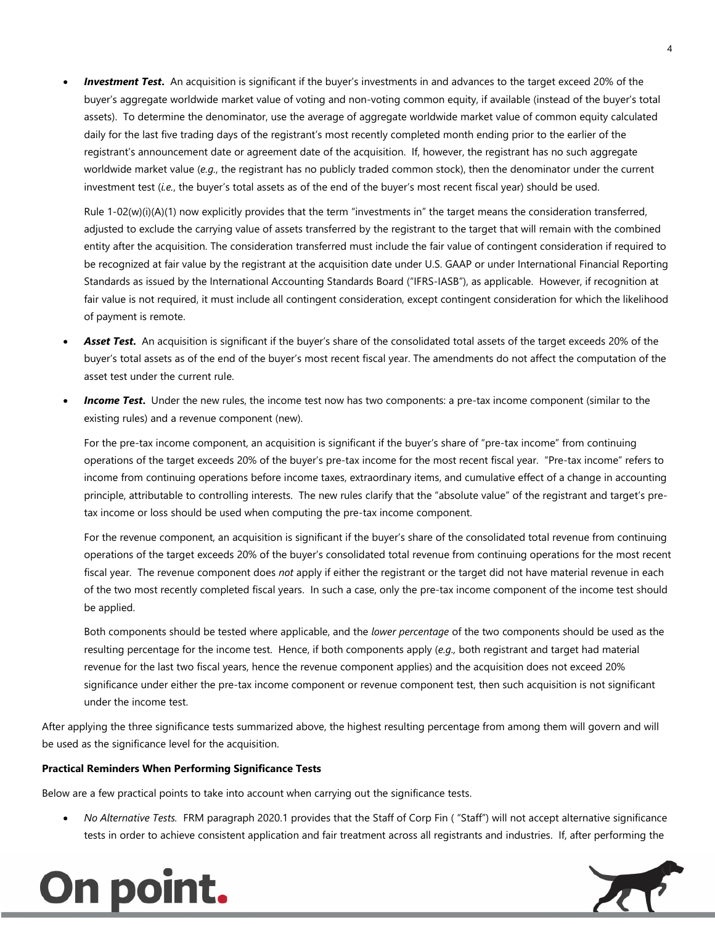*Investment Test***.** An acquisition is significant if the buyer's investments in and advances to the target exceed 20% of the buyer's aggregate worldwide market value of voting and non-voting common equity, if available (instead of the buyer's total assets). To determine the denominator, use the average of aggregate worldwide market value of common equity calculated daily for the last five trading days of the registrant's most recently completed month ending prior to the earlier of the registrant's announcement date or agreement date of the acquisition. If, however, the registrant has no such aggregate worldwide market value (*e.g.*, the registrant has no publicly traded common stock), then the denominator under the current investment test (*i.e.*, the buyer's total assets as of the end of the buyer's most recent fiscal year) should be used.

Rule 1-02(w)(i)(A)(1) now explicitly provides that the term "investments in" the target means the consideration transferred, adjusted to exclude the carrying value of assets transferred by the registrant to the target that will remain with the combined entity after the acquisition. The consideration transferred must include the fair value of contingent consideration if required to be recognized at fair value by the registrant at the acquisition date under U.S. GAAP or under International Financial Reporting Standards as issued by the International Accounting Standards Board ("IFRS-IASB"), as applicable. However, if recognition at fair value is not required, it must include all contingent consideration, except contingent consideration for which the likelihood of payment is remote.

- *Asset Test***.** An acquisition is significant if the buyer's share of the consolidated total assets of the target exceeds 20% of the buyer's total assets as of the end of the buyer's most recent fiscal year. The amendments do not affect the computation of the asset test under the current rule.
- **Income Test.** Under the new rules, the income test now has two components: a pre-tax income component (similar to the existing rules) and a revenue component (new).

For the pre-tax income component, an acquisition is significant if the buyer's share of "pre-tax income" from continuing operations of the target exceeds 20% of the buyer's pre-tax income for the most recent fiscal year. "Pre-tax income" refers to income from continuing operations before income taxes, extraordinary items, and cumulative effect of a change in accounting principle, attributable to controlling interests. The new rules clarify that the "absolute value" of the registrant and target's pretax income or loss should be used when computing the pre-tax income component.

For the revenue component, an acquisition is significant if the buyer's share of the consolidated total revenue from continuing operations of the target exceeds 20% of the buyer's consolidated total revenue from continuing operations for the most recent fiscal year. The revenue component does *not* apply if either the registrant or the target did not have material revenue in each of the two most recently completed fiscal years. In such a case, only the pre-tax income component of the income test should be applied.

Both components should be tested where applicable, and the *lower percentage* of the two components should be used as the resulting percentage for the income test. Hence, if both components apply (*e.g.,* both registrant and target had material revenue for the last two fiscal years, hence the revenue component applies) and the acquisition does not exceed 20% significance under either the pre-tax income component or revenue component test, then such acquisition is not significant under the income test.

After applying the three significance tests summarized above, the highest resulting percentage from among them will govern and will be used as the significance level for the acquisition.

#### **Practical Reminders When Performing Significance Tests**

Below are a few practical points to take into account when carrying out the significance tests.

 *No Alternative Tests.* FRM paragraph 2020.1 provides that the Staff of Corp Fin ( "Staff") will not accept alternative significance tests in order to achieve consistent application and fair treatment across all registrants and industries. If, after performing the



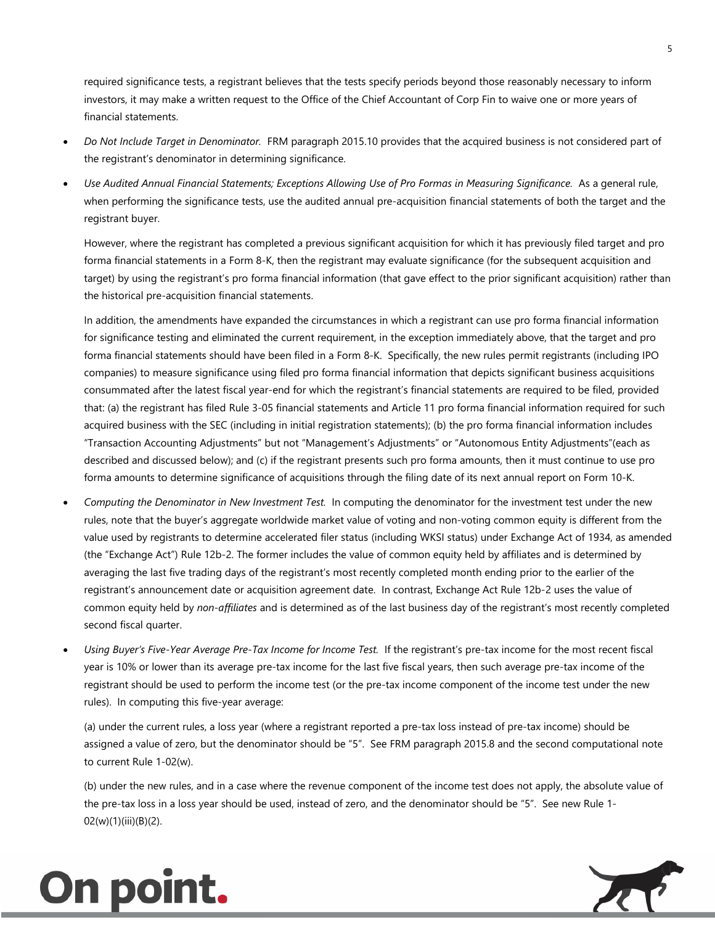required significance tests, a registrant believes that the tests specify periods beyond those reasonably necessary to inform investors, it may make a written request to the Office of the Chief Accountant of Corp Fin to waive one or more years of financial statements.

- *Do Not Include Target in Denominator.* FRM paragraph 2015.10 provides that the acquired business is not considered part of the registrant's denominator in determining significance.
- *Use Audited Annual Financial Statements; Exceptions Allowing Use of Pro Formas in Measuring Significance.* As a general rule, when performing the significance tests, use the audited annual pre-acquisition financial statements of both the target and the registrant buyer.

However, where the registrant has completed a previous significant acquisition for which it has previously filed target and pro forma financial statements in a Form 8-K, then the registrant may evaluate significance (for the subsequent acquisition and target) by using the registrant's pro forma financial information (that gave effect to the prior significant acquisition) rather than the historical pre-acquisition financial statements.

In addition, the amendments have expanded the circumstances in which a registrant can use pro forma financial information for significance testing and eliminated the current requirement, in the exception immediately above, that the target and pro forma financial statements should have been filed in a Form 8-K. Specifically, the new rules permit registrants (including IPO companies) to measure significance using filed pro forma financial information that depicts significant business acquisitions consummated after the latest fiscal year-end for which the registrant's financial statements are required to be filed, provided that: (a) the registrant has filed Rule 3-05 financial statements and Article 11 pro forma financial information required for such acquired business with the SEC (including in initial registration statements); (b) the pro forma financial information includes "Transaction Accounting Adjustments" but not "Management's Adjustments" or "Autonomous Entity Adjustments"(each as described and discussed below); and (c) if the registrant presents such pro forma amounts, then it must continue to use pro forma amounts to determine significance of acquisitions through the filing date of its next annual report on Form 10-K.

- *Computing the Denominator in New Investment Test.* In computing the denominator for the investment test under the new rules, note that the buyer's aggregate worldwide market value of voting and non-voting common equity is different from the value used by registrants to determine accelerated filer status (including WKSI status) under Exchange Act of 1934, as amended (the "Exchange Act") Rule 12b-2. The former includes the value of common equity held by affiliates and is determined by averaging the last five trading days of the registrant's most recently completed month ending prior to the earlier of the registrant's announcement date or acquisition agreement date. In contrast, Exchange Act Rule 12b-2 uses the value of common equity held by *non-affiliates* and is determined as of the last business day of the registrant's most recently completed second fiscal quarter.
- *Using Buyer's Five-Year Average Pre-Tax Income for Income Test.* If the registrant's pre-tax income for the most recent fiscal year is 10% or lower than its average pre-tax income for the last five fiscal years, then such average pre-tax income of the registrant should be used to perform the income test (or the pre-tax income component of the income test under the new rules). In computing this five-year average:

(a) under the current rules, a loss year (where a registrant reported a pre-tax loss instead of pre-tax income) should be assigned a value of zero, but the denominator should be "5". See FRM paragraph 2015.8 and the second computational note to current Rule 1-02(w).

(b) under the new rules, and in a case where the revenue component of the income test does not apply, the absolute value of the pre-tax loss in a loss year should be used, instead of zero, and the denominator should be "5". See new Rule 1- 02(w)(1)(iii)(B)(2).



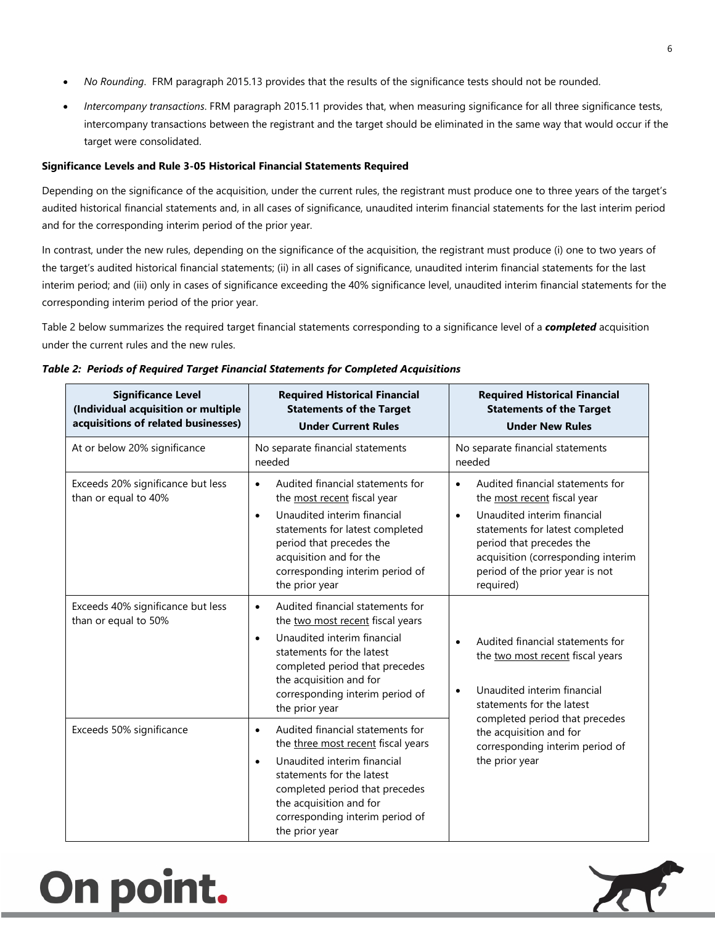- *No Rounding*. FRM paragraph 2015.13 provides that the results of the significance tests should not be rounded.
- *Intercompany transactions*. FRM paragraph 2015.11 provides that, when measuring significance for all three significance tests, intercompany transactions between the registrant and the target should be eliminated in the same way that would occur if the target were consolidated.

#### **Significance Levels and Rule 3-05 Historical Financial Statements Required**

Depending on the significance of the acquisition, under the current rules, the registrant must produce one to three years of the target's audited historical financial statements and, in all cases of significance, unaudited interim financial statements for the last interim period and for the corresponding interim period of the prior year.

In contrast, under the new rules, depending on the significance of the acquisition, the registrant must produce (i) one to two years of the target's audited historical financial statements; (ii) in all cases of significance, unaudited interim financial statements for the last interim period; and (iii) only in cases of significance exceeding the 40% significance level, unaudited interim financial statements for the corresponding interim period of the prior year.

Table 2 below summarizes the required target financial statements corresponding to a significance level of a *completed* acquisition under the current rules and the new rules.

| <b>Significance Level</b><br>(Individual acquisition or multiple<br>acquisitions of related businesses) | <b>Required Historical Financial</b><br><b>Statements of the Target</b><br><b>Under Current Rules</b>                                                                                                                                                                        | <b>Required Historical Financial</b><br><b>Statements of the Target</b><br><b>Under New Rules</b>                                                                                                                                                                             |
|---------------------------------------------------------------------------------------------------------|------------------------------------------------------------------------------------------------------------------------------------------------------------------------------------------------------------------------------------------------------------------------------|-------------------------------------------------------------------------------------------------------------------------------------------------------------------------------------------------------------------------------------------------------------------------------|
| At or below 20% significance<br>No separate financial statements<br>needed                              |                                                                                                                                                                                                                                                                              | No separate financial statements<br>needed                                                                                                                                                                                                                                    |
| Exceeds 20% significance but less<br>than or equal to 40%                                               | Audited financial statements for<br>the most recent fiscal year<br>Unaudited interim financial<br>$\bullet$<br>statements for latest completed<br>period that precedes the<br>acquisition and for the<br>corresponding interim period of<br>the prior year                   | Audited financial statements for<br>$\bullet$<br>the most recent fiscal year<br>Unaudited interim financial<br>$\bullet$<br>statements for latest completed<br>period that precedes the<br>acquisition (corresponding interim<br>period of the prior year is not<br>required) |
| Exceeds 40% significance but less<br>than or equal to 50%                                               | Audited financial statements for<br>$\bullet$<br>the two most recent fiscal years<br>Unaudited interim financial<br>$\bullet$<br>statements for the latest<br>completed period that precedes<br>the acquisition and for<br>corresponding interim period of<br>the prior year | Audited financial statements for<br>$\bullet$<br>the two most recent fiscal years<br>Unaudited interim financial<br>$\bullet$<br>statements for the latest                                                                                                                    |
| Exceeds 50% significance                                                                                | Audited financial statements for<br>$\bullet$<br>the three most recent fiscal years<br>Unaudited interim financial<br>statements for the latest<br>completed period that precedes<br>the acquisition and for<br>corresponding interim period of<br>the prior year            | completed period that precedes<br>the acquisition and for<br>corresponding interim period of<br>the prior year                                                                                                                                                                |

| Table 2: Periods of Required Target Financial Statements for Completed Acquisitions |  |  |  |  |  |  |
|-------------------------------------------------------------------------------------|--|--|--|--|--|--|
|-------------------------------------------------------------------------------------|--|--|--|--|--|--|

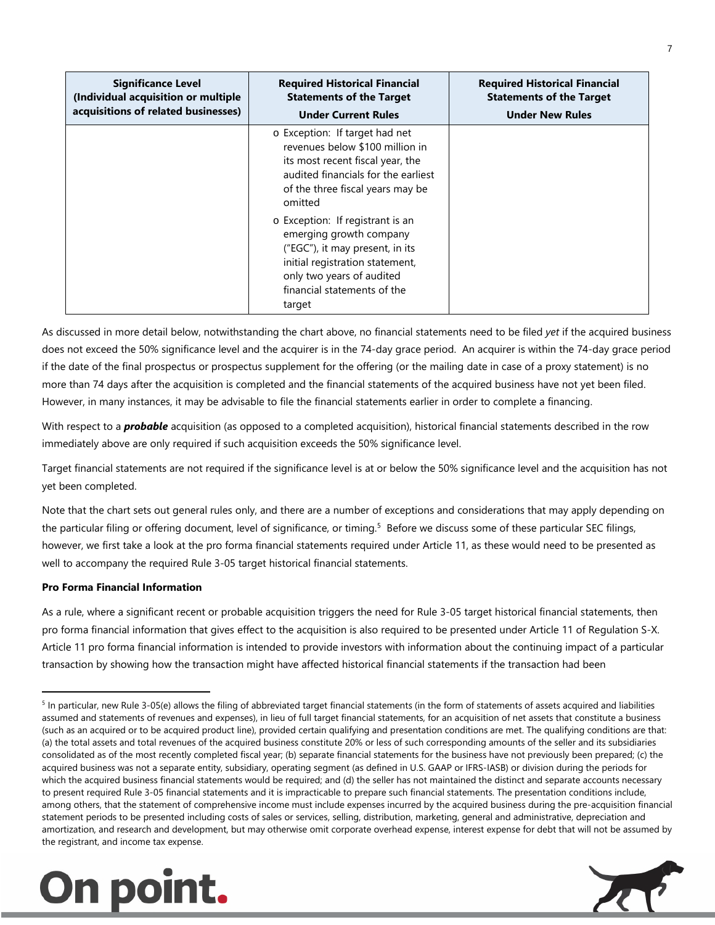| <b>Significance Level</b><br>(Individual acquisition or multiple<br>acquisitions of related businesses) | <b>Required Historical Financial</b><br><b>Statements of the Target</b><br><b>Under Current Rules</b>                                                                                                   | <b>Required Historical Financial</b><br><b>Statements of the Target</b><br><b>Under New Rules</b> |
|---------------------------------------------------------------------------------------------------------|---------------------------------------------------------------------------------------------------------------------------------------------------------------------------------------------------------|---------------------------------------------------------------------------------------------------|
|                                                                                                         | o Exception: If target had net<br>revenues below \$100 million in<br>its most recent fiscal year, the<br>audited financials for the earliest<br>of the three fiscal years may be<br>omitted             |                                                                                                   |
|                                                                                                         | o Exception: If registrant is an<br>emerging growth company<br>("EGC"), it may present, in its<br>initial registration statement,<br>only two years of audited<br>financial statements of the<br>target |                                                                                                   |

As discussed in more detail below, notwithstanding the chart above, no financial statements need to be filed *yet* if the acquired business does not exceed the 50% significance level and the acquirer is in the 74-day grace period. An acquirer is within the 74-day grace period if the date of the final prospectus or prospectus supplement for the offering (or the mailing date in case of a proxy statement) is no more than 74 days after the acquisition is completed and the financial statements of the acquired business have not yet been filed. However, in many instances, it may be advisable to file the financial statements earlier in order to complete a financing.

With respect to a *probable* acquisition (as opposed to a completed acquisition), historical financial statements described in the row immediately above are only required if such acquisition exceeds the 50% significance level.

Target financial statements are not required if the significance level is at or below the 50% significance level and the acquisition has not yet been completed.

Note that the chart sets out general rules only, and there are a number of exceptions and considerations that may apply depending on the particular filing or offering document, level of significance, or timing.<sup>[5](#page-6-0)</sup> Before we discuss some of these particular SEC filings, however, we first take a look at the pro forma financial statements required under Article 11, as these would need to be presented as well to accompany the required Rule 3-05 target historical financial statements.

#### **Pro Forma Financial Information**

As a rule, where a significant recent or probable acquisition triggers the need for Rule 3-05 target historical financial statements, then pro forma financial information that gives effect to the acquisition is also required to be presented under Article 11 of Regulation S-X. Article 11 pro forma financial information is intended to provide investors with information about the continuing impact of a particular transaction by showing how the transaction might have affected historical financial statements if the transaction had been

<span id="page-6-0"></span><sup>&</sup>lt;sup>5</sup> In particular, new Rule 3-05(e) allows the filing of abbreviated target financial statements (in the form of statements of assets acquired and liabilities assumed and statements of revenues and expenses), in lieu of full target financial statements, for an acquisition of net assets that constitute a business (such as an acquired or to be acquired product line), provided certain qualifying and presentation conditions are met. The qualifying conditions are that: (a) the total assets and total revenues of the acquired business constitute 20% or less of such corresponding amounts of the seller and its subsidiaries consolidated as of the most recently completed fiscal year; (b) separate financial statements for the business have not previously been prepared; (c) the acquired business was not a separate entity, subsidiary, operating segment (as defined in U.S. GAAP or IFRS-IASB) or division during the periods for which the acquired business financial statements would be required; and (d) the seller has not maintained the distinct and separate accounts necessary to present required Rule 3-05 financial statements and it is impracticable to prepare such financial statements. The presentation conditions include, among others, that the statement of comprehensive income must include expenses incurred by the acquired business during the pre-acquisition financial statement periods to be presented including costs of sales or services, selling, distribution, marketing, general and administrative, depreciation and amortization, and research and development, but may otherwise omit corporate overhead expense, interest expense for debt that will not be assumed by the registrant, and income tax expense.

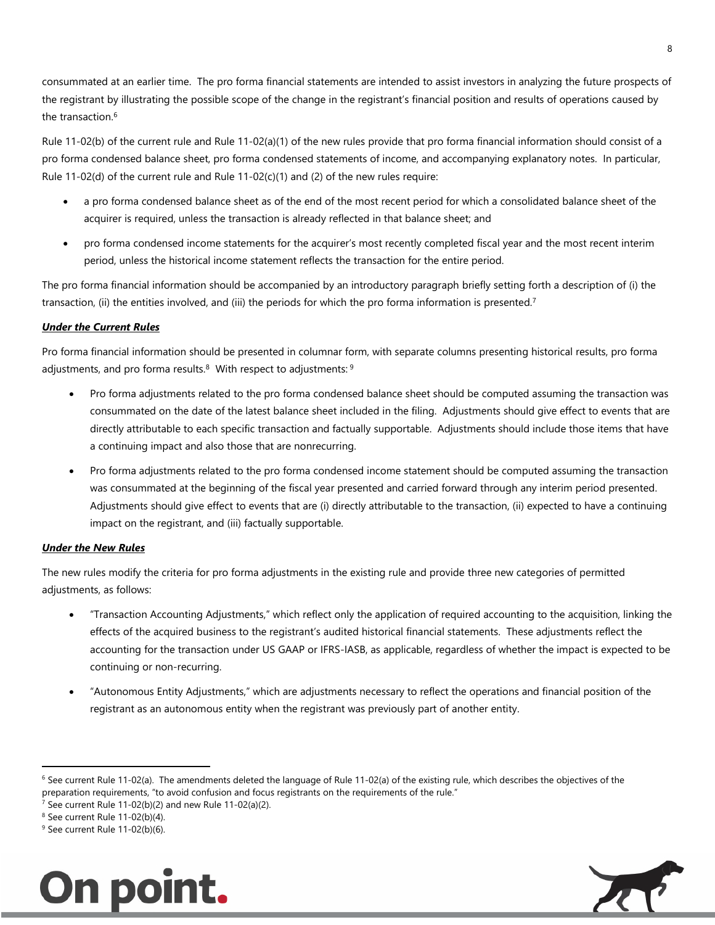consummated at an earlier time. The pro forma financial statements are intended to assist investors in analyzing the future prospects of the registrant by illustrating the possible scope of the change in the registrant's financial position and results of operations caused by the transaction.<sup>[6](#page-7-0)</sup>

Rule 11-02(b) of the current rule and Rule 11-02(a)(1) of the new rules provide that pro forma financial information should consist of a pro forma condensed balance sheet, pro forma condensed statements of income, and accompanying explanatory notes. In particular, Rule 11-02(d) of the current rule and Rule 11-02(c)(1) and (2) of the new rules require:

- a pro forma condensed balance sheet as of the end of the most recent period for which a consolidated balance sheet of the acquirer is required, unless the transaction is already reflected in that balance sheet; and
- pro forma condensed income statements for the acquirer's most recently completed fiscal year and the most recent interim period, unless the historical income statement reflects the transaction for the entire period.

The pro forma financial information should be accompanied by an introductory paragraph briefly setting forth a description of (i) the transaction, (ii) the entities involved, and (iii) the periods for which the pro forma information is presented.<sup>[7](#page-7-1)</sup>

#### *Under the Current Rules*

Pro forma financial information should be presented in columnar f[or](#page-7-3)m, with separate columns presenting historical results, pro forma adjustments, and pro forma results.<sup>[8](#page-7-2)</sup> With respect to adjustments:  $9$ 

- Pro forma adjustments related to the pro forma condensed balance sheet should be computed assuming the transaction was consummated on the date of the latest balance sheet included in the filing. Adjustments should give effect to events that are directly attributable to each specific transaction and factually supportable. Adjustments should include those items that have a continuing impact and also those that are nonrecurring.
- Pro forma adjustments related to the pro forma condensed income statement should be computed assuming the transaction was consummated at the beginning of the fiscal year presented and carried forward through any interim period presented. Adjustments should give effect to events that are (i) directly attributable to the transaction, (ii) expected to have a continuing impact on the registrant, and (iii) factually supportable.

#### *Under the New Rules*

The new rules modify the criteria for pro forma adjustments in the existing rule and provide three new categories of permitted adjustments, as follows:

- "Transaction Accounting Adjustments," which reflect only the application of required accounting to the acquisition, linking the effects of the acquired business to the registrant's audited historical financial statements. These adjustments reflect the accounting for the transaction under US GAAP or IFRS-IASB, as applicable, regardless of whether the impact is expected to be continuing or non-recurring.
- "Autonomous Entity Adjustments," which are adjustments necessary to reflect the operations and financial position of the registrant as an autonomous entity when the registrant was previously part of another entity.

<sup>&</sup>lt;sup>9</sup> See current Rule 11-02(b)(6).





<span id="page-7-0"></span><sup>6</sup> See current Rule 11-02(a). The amendments deleted the language of Rule 11-02(a) of the existing rule, which describes the objectives of the preparation requirements, "to avoid confusion and focus registrants on the requirements of the rule."

<span id="page-7-2"></span><span id="page-7-1"></span><sup>&</sup>lt;sup>7</sup> See current Rule 11-02(b)(2) and new Rule 11-02(a)(2).

<span id="page-7-3"></span><sup>8</sup> See current Rule 11-02(b)(4).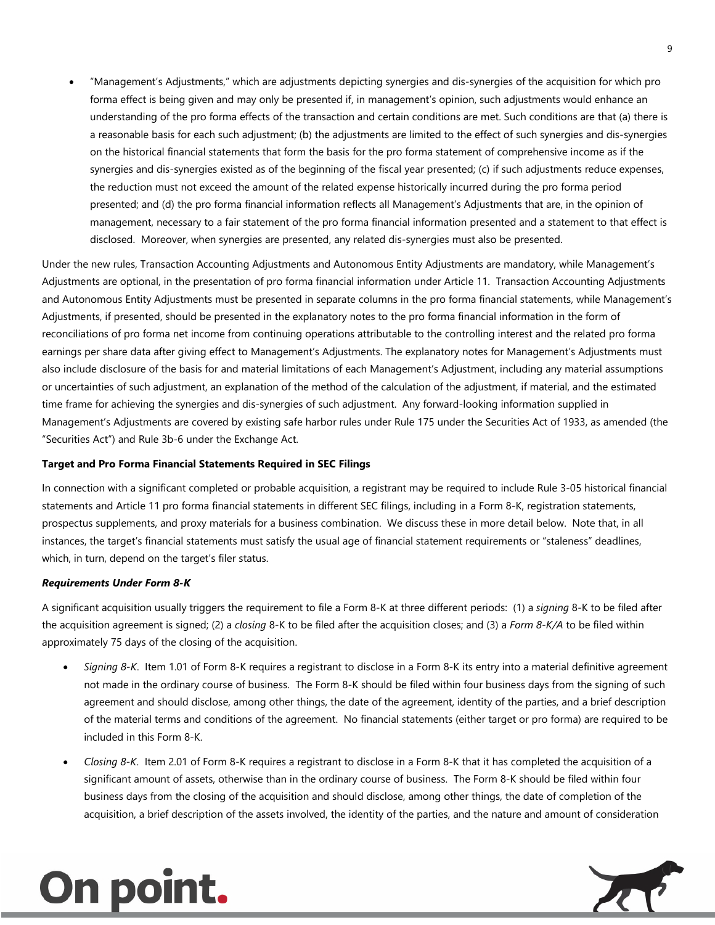"Management's Adjustments," which are adjustments depicting synergies and dis-synergies of the acquisition for which pro forma effect is being given and may only be presented if, in management's opinion, such adjustments would enhance an understanding of the pro forma effects of the transaction and certain conditions are met. Such conditions are that (a) there is a reasonable basis for each such adjustment; (b) the adjustments are limited to the effect of such synergies and dis-synergies on the historical financial statements that form the basis for the pro forma statement of comprehensive income as if the synergies and dis-synergies existed as of the beginning of the fiscal year presented; (c) if such adjustments reduce expenses, the reduction must not exceed the amount of the related expense historically incurred during the pro forma period presented; and (d) the pro forma financial information reflects all Management's Adjustments that are, in the opinion of management, necessary to a fair statement of the pro forma financial information presented and a statement to that effect is disclosed. Moreover, when synergies are presented, any related dis-synergies must also be presented.

Under the new rules, Transaction Accounting Adjustments and Autonomous Entity Adjustments are mandatory, while Management's Adjustments are optional, in the presentation of pro forma financial information under Article 11. Transaction Accounting Adjustments and Autonomous Entity Adjustments must be presented in separate columns in the pro forma financial statements, while Management's Adjustments, if presented, should be presented in the explanatory notes to the pro forma financial information in the form of reconciliations of pro forma net income from continuing operations attributable to the controlling interest and the related pro forma earnings per share data after giving effect to Management's Adjustments. The explanatory notes for Management's Adjustments must also include disclosure of the basis for and material limitations of each Management's Adjustment, including any material assumptions or uncertainties of such adjustment, an explanation of the method of the calculation of the adjustment, if material, and the estimated time frame for achieving the synergies and dis-synergies of such adjustment. Any forward-looking information supplied in Management's Adjustments are covered by existing safe harbor rules under Rule 175 under the Securities Act of 1933, as amended (the "Securities Act") and Rule 3b-6 under the Exchange Act.

#### **Target and Pro Forma Financial Statements Required in SEC Filings**

In connection with a significant completed or probable acquisition, a registrant may be required to include Rule 3-05 historical financial statements and Article 11 pro forma financial statements in different SEC filings, including in a Form 8-K, registration statements, prospectus supplements, and proxy materials for a business combination. We discuss these in more detail below. Note that, in all instances, the target's financial statements must satisfy the usual age of financial statement requirements or "staleness" deadlines, which, in turn, depend on the target's filer status.

#### *Requirements Under Form 8-K*

A significant acquisition usually triggers the requirement to file a Form 8-K at three different periods: (1) a *signing* 8-K to be filed after the acquisition agreement is signed; (2) a *closing* 8-K to be filed after the acquisition closes; and (3) a *Form 8-K/A* to be filed within approximately 75 days of the closing of the acquisition.

- *Signing 8-K*. Item 1.01 of Form 8-K requires a registrant to disclose in a Form 8-K its entry into a material definitive agreement not made in the ordinary course of business. The Form 8-K should be filed within four business days from the signing of such agreement and should disclose, among other things, the date of the agreement, identity of the parties, and a brief description of the material terms and conditions of the agreement. No financial statements (either target or pro forma) are required to be included in this Form 8-K.
- *Closing 8-K*. Item 2.01 of Form 8-K requires a registrant to disclose in a Form 8-K that it has completed the acquisition of a significant amount of assets, otherwise than in the ordinary course of business. The Form 8-K should be filed within four business days from the closing of the acquisition and should disclose, among other things, the date of completion of the acquisition, a brief description of the assets involved, the identity of the parties, and the nature and amount of consideration

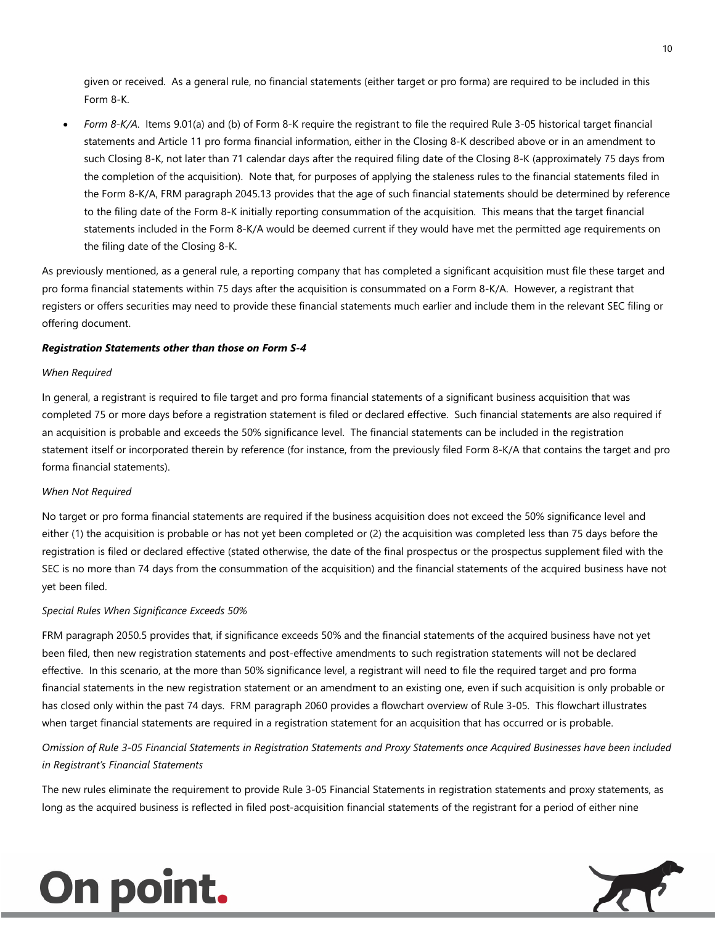given or received. As a general rule, no financial statements (either target or pro forma) are required to be included in this Form 8-K.

 *Form 8-K/A*. Items 9.01(a) and (b) of Form 8-K require the registrant to file the required Rule 3-05 historical target financial statements and Article 11 pro forma financial information, either in the Closing 8-K described above or in an amendment to such Closing 8-K, not later than 71 calendar days after the required filing date of the Closing 8-K (approximately 75 days from the completion of the acquisition). Note that, for purposes of applying the staleness rules to the financial statements filed in the Form 8-K/A, FRM paragraph 2045.13 provides that the age of such financial statements should be determined by reference to the filing date of the Form 8-K initially reporting consummation of the acquisition. This means that the target financial statements included in the Form 8-K/A would be deemed current if they would have met the permitted age requirements on the filing date of the Closing 8-K.

As previously mentioned, as a general rule, a reporting company that has completed a significant acquisition must file these target and pro forma financial statements within 75 days after the acquisition is consummated on a Form 8-K/A. However, a registrant that registers or offers securities may need to provide these financial statements much earlier and include them in the relevant SEC filing or offering document.

#### *Registration Statements other than those on Form S-4*

#### *When Required*

In general, a registrant is required to file target and pro forma financial statements of a significant business acquisition that was completed 75 or more days before a registration statement is filed or declared effective. Such financial statements are also required if an acquisition is probable and exceeds the 50% significance level. The financial statements can be included in the registration statement itself or incorporated therein by reference (for instance, from the previously filed Form 8-K/A that contains the target and pro forma financial statements).

#### *When Not Required*

No target or pro forma financial statements are required if the business acquisition does not exceed the 50% significance level and either (1) the acquisition is probable or has not yet been completed or (2) the acquisition was completed less than 75 days before the registration is filed or declared effective (stated otherwise, the date of the final prospectus or the prospectus supplement filed with the SEC is no more than 74 days from the consummation of the acquisition) and the financial statements of the acquired business have not yet been filed.

#### *Special Rules When Significance Exceeds 50%*

FRM paragraph 2050.5 provides that, if significance exceeds 50% and the financial statements of the acquired business have not yet been filed, then new registration statements and post-effective amendments to such registration statements will not be declared effective. In this scenario, at the more than 50% significance level, a registrant will need to file the required target and pro forma financial statements in the new registration statement or an amendment to an existing one, even if such acquisition is only probable or has closed only within the past 74 days. FRM paragraph 2060 provides a flowchart overview of Rule 3-05. This flowchart illustrates when target financial statements are required in a registration statement for an acquisition that has occurred or is probable.

*Omission of Rule 3-05 Financial Statements in Registration Statements and Proxy Statements once Acquired Businesses have been included in Registrant's Financial Statements* 

The new rules eliminate the requirement to provide Rule 3-05 Financial Statements in registration statements and proxy statements, as long as the acquired business is reflected in filed post-acquisition financial statements of the registrant for a period of either nine



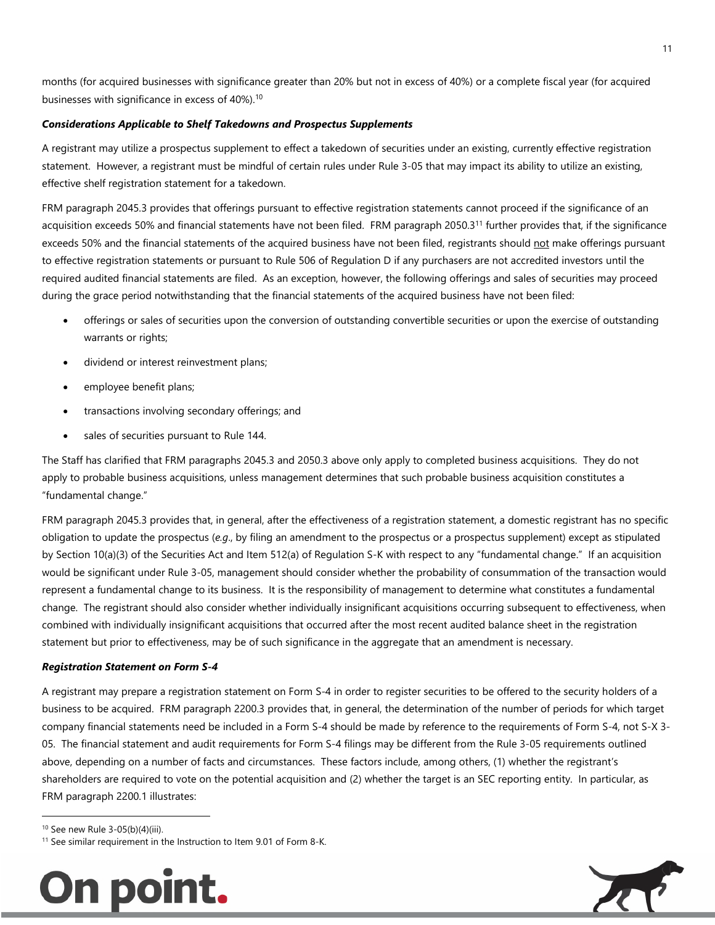months (for acquired businesses with significance greater than 20% but not in excess of 40%) or a complete fiscal year (for acquired businesses with significance in excess of 40%).<sup>[10](#page-10-0)</sup>

#### *Considerations Applicable to Shelf Takedowns and Prospectus Supplements*

A registrant may utilize a prospectus supplement to effect a takedown of securities under an existing, currently effective registration statement. However, a registrant must be mindful of certain rules under Rule 3-05 that may impact its ability to utilize an existing, effective shelf registration statement for a takedown.

FRM paragraph 2045.3 provides that offerings pursuant to effective registration statements cannot proceed if the significance of an acquisition exceeds 50% and financial statements have not been filed. FRM paragraph 2050.3[11](#page-10-1) further provides that, if the significance exceeds 50% and the financial statements of the acquired business have not been filed, registrants should not make offerings pursuant to effective registration statements or pursuant to Rule 506 of Regulation D if any purchasers are not accredited investors until the required audited financial statements are filed. As an exception, however, the following offerings and sales of securities may proceed during the grace period notwithstanding that the financial statements of the acquired business have not been filed:

- offerings or sales of securities upon the conversion of outstanding convertible securities or upon the exercise of outstanding warrants or rights;
- dividend or interest reinvestment plans;
- employee benefit plans;
- transactions involving secondary offerings; and
- sales of securities pursuant to Rule 144.

The Staff has clarified that FRM paragraphs 2045.3 and 2050.3 above only apply to completed business acquisitions. They do not apply to probable business acquisitions, unless management determines that such probable business acquisition constitutes a "fundamental change."

FRM paragraph 2045.3 provides that, in general, after the effectiveness of a registration statement, a domestic registrant has no specific obligation to update the prospectus (*e.g*., by filing an amendment to the prospectus or a prospectus supplement) except as stipulated by Section 10(a)(3) of the Securities Act and Item 512(a) of Regulation S-K with respect to any "fundamental change." If an acquisition would be significant under Rule 3-05, management should consider whether the probability of consummation of the transaction would represent a fundamental change to its business. It is the responsibility of management to determine what constitutes a fundamental change. The registrant should also consider whether individually insignificant acquisitions occurring subsequent to effectiveness, when combined with individually insignificant acquisitions that occurred after the most recent audited balance sheet in the registration statement but prior to effectiveness, may be of such significance in the aggregate that an amendment is necessary.

#### *Registration Statement on Form S-4*

A registrant may prepare a registration statement on Form S-4 in order to register securities to be offered to the security holders of a business to be acquired. FRM paragraph 2200.3 provides that, in general, the determination of the number of periods for which target company financial statements need be included in a Form S-4 should be made by reference to the requirements of Form S-4, not S-X 3- 05. The financial statement and audit requirements for Form S-4 filings may be different from the Rule 3-05 requirements outlined above, depending on a number of facts and circumstances. These factors include, among others, (1) whether the registrant's shareholders are required to vote on the potential acquisition and (2) whether the target is an SEC reporting entity. In particular, as FRM paragraph 2200.1 illustrates:

<span id="page-10-1"></span><span id="page-10-0"></span><sup>10</sup> See new Rule 3-05(b)(4)(iii).

<sup>&</sup>lt;sup>11</sup> See similar requirement in the Instruction to Item 9.01 of Form 8-K.



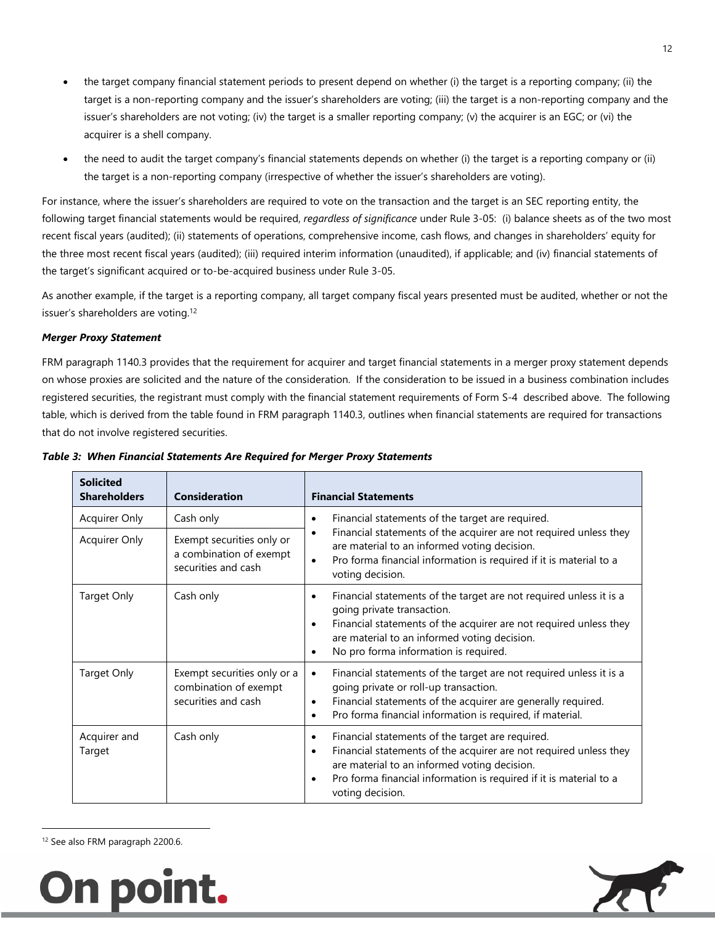- the target company financial statement periods to present depend on whether (i) the target is a reporting company; (ii) the target is a non-reporting company and the issuer's shareholders are voting; (iii) the target is a non-reporting company and the issuer's shareholders are not voting; (iv) the target is a smaller reporting company; (v) the acquirer is an EGC; or (vi) the acquirer is a shell company.
- the need to audit the target company's financial statements depends on whether (i) the target is a reporting company or (ii) the target is a non-reporting company (irrespective of whether the issuer's shareholders are voting).

For instance, where the issuer's shareholders are required to vote on the transaction and the target is an SEC reporting entity, the following target financial statements would be required, *regardless of significance* under Rule 3-05: (i) balance sheets as of the two most recent fiscal years (audited); (ii) statements of operations, comprehensive income, cash flows, and changes in shareholders' equity for the three most recent fiscal years (audited); (iii) required interim information (unaudited), if applicable; and (iv) financial statements of the target's significant acquired or to-be-acquired business under Rule 3-05.

As another example, if the target is a reporting company, all target company fiscal years presented must be audited, whether or not the issuer's shareholders are voting.<sup>12</sup>

#### *Merger Proxy Statement*

[FRM paragraph 1140.3 provides that the requirement for acquirer and target financial statements in a merger proxy statement depends](#page-11-0)  on whose proxies are solicited and the nature of the consideration. If the consideration to be issued in a business combination includes registered securities, the registrant must comply with the financial statement requirements of Form S-4 described above. The following table, which is derived from the table found in FRM paragraph 1140.3, outlines when financial statements are required for transactions that do not involve registered securities.

| <b>Solicited</b><br><b>Shareholders</b> | <b>Consideration</b>                                                        | <b>Financial Statements</b>                                                                                                                                                                                                                                                                    |
|-----------------------------------------|-----------------------------------------------------------------------------|------------------------------------------------------------------------------------------------------------------------------------------------------------------------------------------------------------------------------------------------------------------------------------------------|
| <b>Acquirer Only</b>                    | Cash only                                                                   | Financial statements of the target are required.<br>٠                                                                                                                                                                                                                                          |
| <b>Acquirer Only</b>                    | Exempt securities only or<br>a combination of exempt<br>securities and cash | Financial statements of the acquirer are not required unless they<br>$\bullet$<br>are material to an informed voting decision.<br>Pro forma financial information is required if it is material to a<br>$\bullet$<br>voting decision.                                                          |
| <b>Target Only</b>                      | Cash only                                                                   | Financial statements of the target are not required unless it is a<br>$\bullet$<br>going private transaction.<br>Financial statements of the acquirer are not required unless they<br>$\bullet$<br>are material to an informed voting decision.<br>No pro forma information is required.       |
| <b>Target Only</b>                      | Exempt securities only or a<br>combination of exempt<br>securities and cash | Financial statements of the target are not required unless it is a<br>$\bullet$<br>going private or roll-up transaction.<br>Financial statements of the acquirer are generally required.<br>٠<br>Pro forma financial information is required, if material.<br>$\bullet$                        |
| Acquirer and<br>Target                  | Cash only                                                                   | Financial statements of the target are required.<br>٠<br>Financial statements of the acquirer are not required unless they<br>$\bullet$<br>are material to an informed voting decision.<br>Pro forma financial information is required if it is material to a<br>$\bullet$<br>voting decision. |

<span id="page-11-0"></span><sup>12</sup> See also FRM paragraph 2200.6.



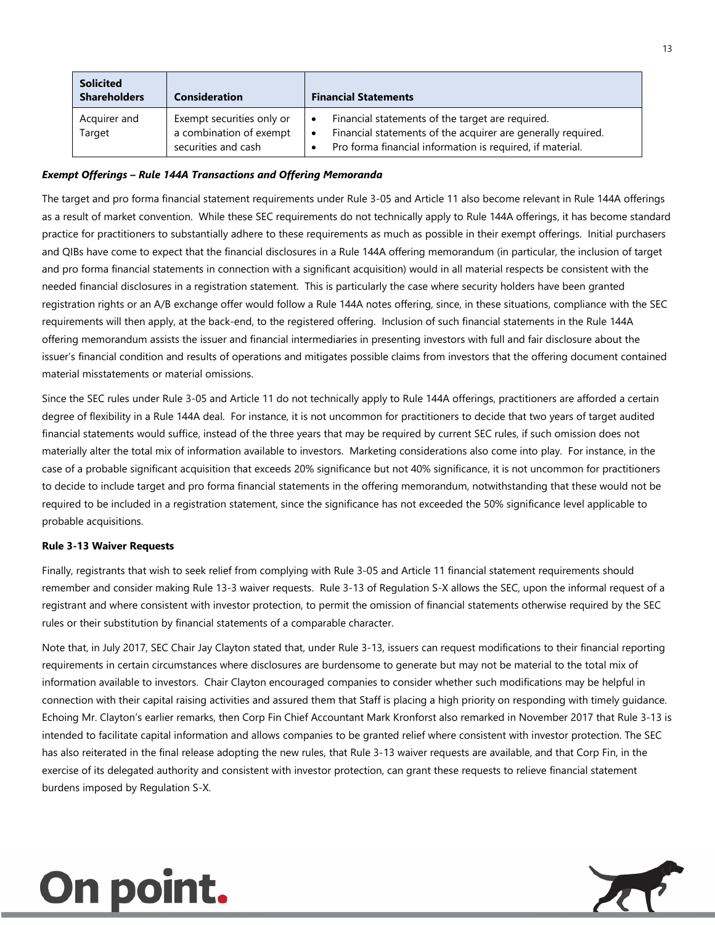| <b>Solicited</b><br><b>Shareholders</b> | <b>Consideration</b>                                                        | <b>Financial Statements</b>                                                                                                                                                                |
|-----------------------------------------|-----------------------------------------------------------------------------|--------------------------------------------------------------------------------------------------------------------------------------------------------------------------------------------|
| Acquirer and<br>Target                  | Exempt securities only or<br>a combination of exempt<br>securities and cash | Financial statements of the target are required.<br>Financial statements of the acquirer are generally required.<br>$\bullet$<br>Pro forma financial information is required, if material. |

#### *Exempt Offerings – Rule 144A Transactions and Offering Memoranda*

The target and pro forma financial statement requirements under Rule 3-05 and Article 11 also become relevant in Rule 144A offerings as a result of market convention. While these SEC requirements do not technically apply to Rule 144A offerings, it has become standard practice for practitioners to substantially adhere to these requirements as much as possible in their exempt offerings. Initial purchasers and QIBs have come to expect that the financial disclosures in a Rule 144A offering memorandum (in particular, the inclusion of target and pro forma financial statements in connection with a significant acquisition) would in all material respects be consistent with the needed financial disclosures in a registration statement. This is particularly the case where security holders have been granted registration rights or an A/B exchange offer would follow a Rule 144A notes offering, since, in these situations, compliance with the SEC requirements will then apply, at the back-end, to the registered offering. Inclusion of such financial statements in the Rule 144A offering memorandum assists the issuer and financial intermediaries in presenting investors with full and fair disclosure about the issuer's financial condition and results of operations and mitigates possible claims from investors that the offering document contained material misstatements or material omissions.

Since the SEC rules under Rule 3-05 and Article 11 do not technically apply to Rule 144A offerings, practitioners are afforded a certain degree of flexibility in a Rule 144A deal. For instance, it is not uncommon for practitioners to decide that two years of target audited financial statements would suffice, instead of the three years that may be required by current SEC rules, if such omission does not materially alter the total mix of information available to investors. Marketing considerations also come into play. For instance, in the case of a probable significant acquisition that exceeds 20% significance but not 40% significance, it is not uncommon for practitioners to decide to include target and pro forma financial statements in the offering memorandum, notwithstanding that these would not be required to be included in a registration statement, since the significance has not exceeded the 50% significance level applicable to probable acquisitions.

#### **Rule 3-13 Waiver Requests**

Finally, registrants that wish to seek relief from complying with Rule 3-05 and Article 11 financial statement requirements should remember and consider making Rule 13-3 waiver requests. Rule 3-13 of Regulation S-X allows the SEC, upon the informal request of a registrant and where consistent with investor protection, to permit the omission of financial statements otherwise required by the SEC rules or their substitution by financial statements of a comparable character.

Note that, in July 2017, SEC Chair Jay Clayton stated that, under Rule 3-13, issuers can request modifications to their financial reporting requirements in certain circumstances where disclosures are burdensome to generate but may not be material to the total mix of information available to investors. Chair Clayton encouraged companies to consider whether such modifications may be helpful in connection with their capital raising activities and assured them that Staff is placing a high priority on responding with timely guidance. Echoing Mr. Clayton's earlier remarks, then Corp Fin Chief Accountant Mark Kronforst also remarked in November 2017 that Rule 3-13 is intended to facilitate capital information and allows companies to be granted relief where consistent with investor protection. The SEC has also reiterated in the final release adopting the new rules, that Rule 3-13 waiver requests are available, and that Corp Fin, in the exercise of its delegated authority and consistent with investor protection, can grant these requests to relieve financial statement burdens imposed by Regulation S-X.